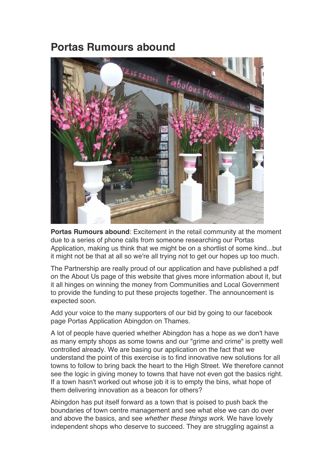## **Portas Rumours abound**



**Portas Rumours abound**: Excitement in the retail community at the moment due to a series of phone calls from someone researching our Portas Application, making us think that we might be on a shortlist of some kind...but it might not be that at all so we're all trying not to get our hopes up too much.

The Partnership are really proud of our application and have published a pdf on the About Us page of this website that gives more information about it, but it all hinges on winning the money from Communities and Local Government to provide the funding to put these projects together. The announcement is expected soon.

Add your voice to the many supporters of our bid by going to our facebook page Portas Application Abingdon on Thames.

A lot of people have queried whether Abingdon has a hope as we don't have as many empty shops as some towns and our "grime and crime" is pretty well controlled already. We are basing our application on the fact that we understand the point of this exercise is to find innovative new solutions for all towns to follow to bring back the heart to the High Street. We therefore cannot see the logic in giving money to towns that have not even got the basics right. If a town hasn't worked out whose job it is to empty the bins, what hope of them delivering innovation as a beacon for others?

Abingdon has put itself forward as a town that is poised to push back the boundaries of town centre management and see what else we can do over and above the basics, and see *whether these things work.* We have lovely independent shops who deserve to succeed. They are struggling against a